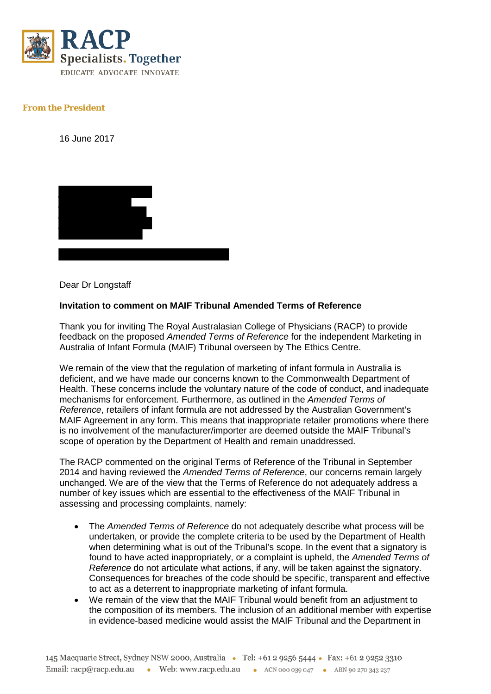

## **From the President**

16 June 2017



Dear Dr Longstaff

## **Invitation to comment on MAIF Tribunal Amended Terms of Reference**

Thank you for inviting The Royal Australasian College of Physicians (RACP) to provide feedback on the proposed *Amended Terms of Reference* for the independent Marketing in Australia of Infant Formula (MAIF) Tribunal overseen by The Ethics Centre.

We remain of the view that the regulation of marketing of infant formula in Australia is deficient, and we have made our concerns known to the Commonwealth Department of Health. These concerns include the voluntary nature of the code of conduct, and inadequate mechanisms for enforcement. Furthermore, as outlined in the *Amended Terms of Reference*, retailers of infant formula are not addressed by the Australian Government's MAIF Agreement in any form. This means that inappropriate retailer promotions where there is no involvement of the manufacturer/importer are deemed outside the MAIF Tribunal's scope of operation by the Department of Health and remain unaddressed.

The RACP commented on the original Terms of Reference of the Tribunal in September 2014 and having reviewed the *Amended Terms of Reference*, our concerns remain largely unchanged. We are of the view that the Terms of Reference do not adequately address a number of key issues which are essential to the effectiveness of the MAIF Tribunal in assessing and processing complaints, namely:

- The *Amended Terms of Reference* do not adequately describe what process will be undertaken, or provide the complete criteria to be used by the Department of Health when determining what is out of the Tribunal's scope. In the event that a signatory is found to have acted inappropriately, or a complaint is upheld, the *Amended Terms of Reference* do not articulate what actions, if any, will be taken against the signatory. Consequences for breaches of the code should be specific, transparent and effective to act as a deterrent to inappropriate marketing of infant formula.
- We remain of the view that the MAIF Tribunal would benefit from an adjustment to the composition of its members. The inclusion of an additional member with expertise in evidence-based medicine would assist the MAIF Tribunal and the Department in